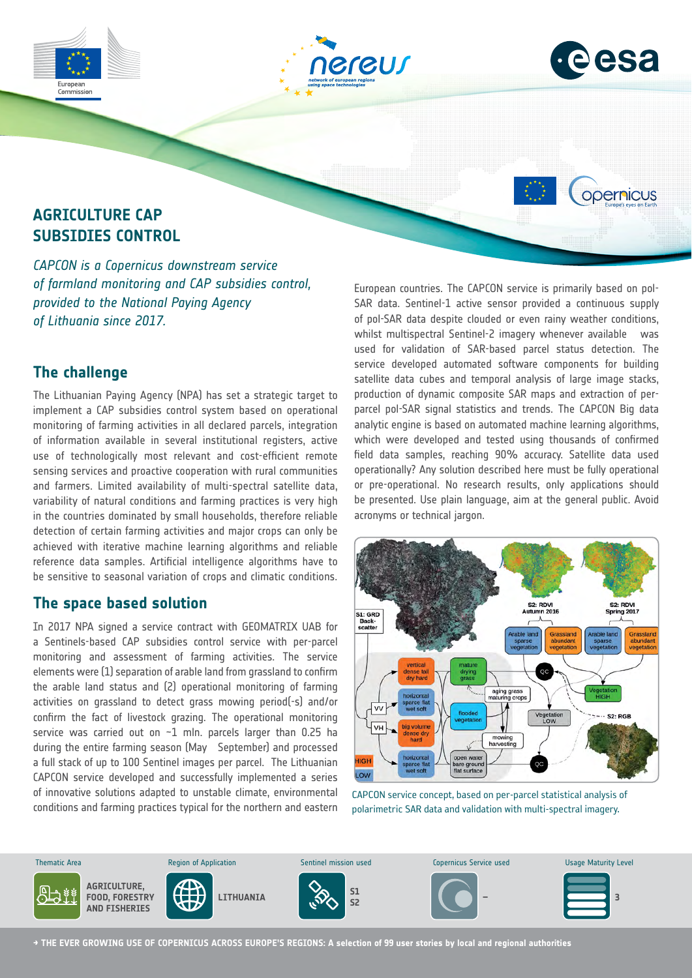



opernicus

# **AGRICULTURE CAP SUBSIDIES CONTROL**

Commission

*CAPCON is a Copernicus downstream service of farmland monitoring and CAP subsidies control, provided to the National Paying Agency of Lithuania since 2017.*

### **The challenge**

The Lithuanian Paying Agency (NPA) has set a strategic target to implement a CAP subsidies control system based on operational monitoring of farming activities in all declared parcels, integration of information available in several institutional registers, active use of technologically most relevant and cost-efficient remote sensing services and proactive cooperation with rural communities and farmers. Limited availability of multi-spectral satellite data, variability of natural conditions and farming practices is very high in the countries dominated by small households, therefore reliable detection of certain farming activities and major crops can only be achieved with iterative machine learning algorithms and reliable reference data samples. Artificial intelligence algorithms have to be sensitive to seasonal variation of crops and climatic conditions.

#### **The space based solution**

In 2017 NPA signed a service contract with GEOMATRIX UAB for a Sentinels-based CAP subsidies control service with per-parcel monitoring and assessment of farming activities. The service elements were (1) separation of arable land from grassland to confirm the arable land status and (2) operational monitoring of farming activities on grassland to detect grass mowing period(-s) and/or confirm the fact of livestock grazing. The operational monitoring service was carried out on ~1 mln. parcels larger than 0.25 ha during the entire farming season (May September) and processed a full stack of up to 100 Sentinel images per parcel. The Lithuanian CAPCON service developed and successfully implemented a series of innovative solutions adapted to unstable climate, environmental conditions and farming practices typical for the northern and eastern

European countries. The CAPCON service is primarily based on pol-SAR data. Sentinel-1 active sensor provided a continuous supply of pol-SAR data despite clouded or even rainy weather conditions, whilst multispectral Sentinel-2 imagery whenever available was used for validation of SAR-based parcel status detection. The service developed automated software components for building satellite data cubes and temporal analysis of large image stacks, production of dynamic composite SAR maps and extraction of perparcel pol-SAR signal statistics and trends. The CAPCON Big data analytic engine is based on automated machine learning algorithms, which were developed and tested using thousands of confirmed field data samples, reaching 90% accuracy. Satellite data used operationally? Any solution described here must be fully operational or pre-operational. No research results, only applications should be presented. Use plain language, aim at the general public. Avoid acronyms or technical jargon.



CAPCON service concept, based on per-parcel statistical analysis of polarimetric SAR data and validation with multi-spectral imagery.



**→ THE EVER GROWING USE OF COPERNICUS ACROSS EUROPE'S REGIONS: A selection of 99 user stories by local and regional authorities**